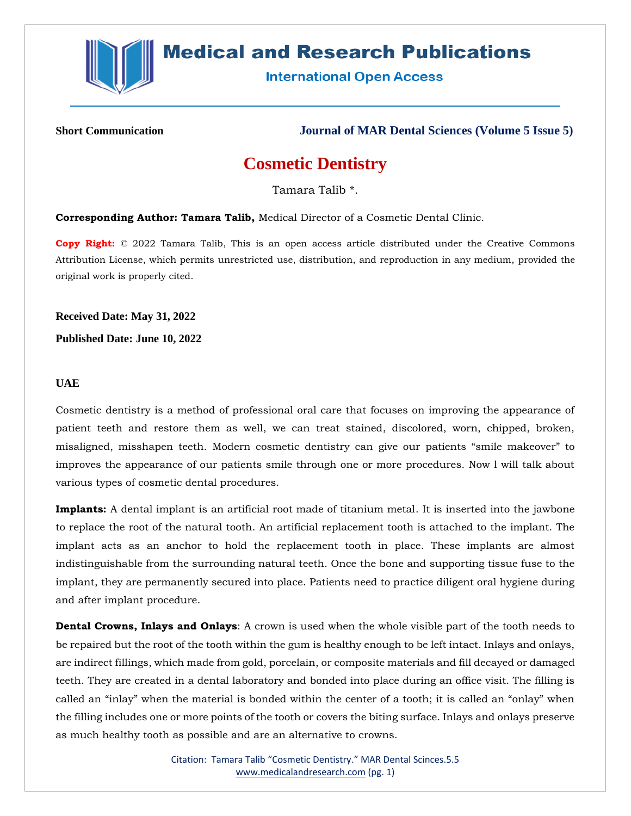

# **Medical and Research Publications**

**International Open Access** 

**Short Communication Journal of MAR Dental Sciences (Volume 5 Issue 5)**

## **Cosmetic Dentistry**

Tamara Talib \*.

**Corresponding Author: Tamara Talib,** Medical Director of a Cosmetic Dental Clinic.

**Copy Right:** © 2022 Tamara Talib, This is an open access article distributed under the Creative Commons Attribution License, which permits unrestricted use, distribution, and reproduction in any medium, provided the original work is properly cited.

**Received Date: May 31, 2022**

**Published Date: June 10, 2022**

### **UAE**

Cosmetic dentistry is a method of professional oral care that focuses on improving the appearance of patient teeth and restore them as well, we can treat stained, discolored, worn, chipped, broken, misaligned, misshapen teeth. Modern cosmetic dentistry can give our patients "smile makeover" to improves the appearance of our patients smile through one or more procedures. Now l will talk about various types of cosmetic dental procedures.

**Implants:** A dental implant is an artificial root made of titanium metal. It is inserted into the jawbone to replace the root of the natural tooth. An artificial replacement tooth is attached to the implant. The implant acts as an anchor to hold the replacement tooth in place. These implants are almost indistinguishable from the surrounding natural teeth. Once the bone and supporting tissue fuse to the implant, they are permanently secured into place. Patients need to practice diligent oral hygiene during and after implant procedure.

**Dental Crowns, Inlays and Onlays**: A crown is used when the whole visible part of the tooth needs to be repaired but the root of the tooth within the gum is healthy enough to be left intact. Inlays and onlays, are indirect fillings, which made from gold, porcelain, or composite materials and fill decayed or damaged teeth. They are created in a dental laboratory and bonded into place during an office visit. The filling is called an "inlay" when the material is bonded within the center of a tooth; it is called an "onlay" when the filling includes one or more points of the tooth or covers the biting surface. Inlays and onlays preserve as much healthy tooth as possible and are an alternative to crowns.

> Citation: Tamara Talib "Cosmetic Dentistry." MAR Dental Scinces.5.5 [www.medicalandresearch.com](http://www.medicalandresearch.com/) (pg. 1)